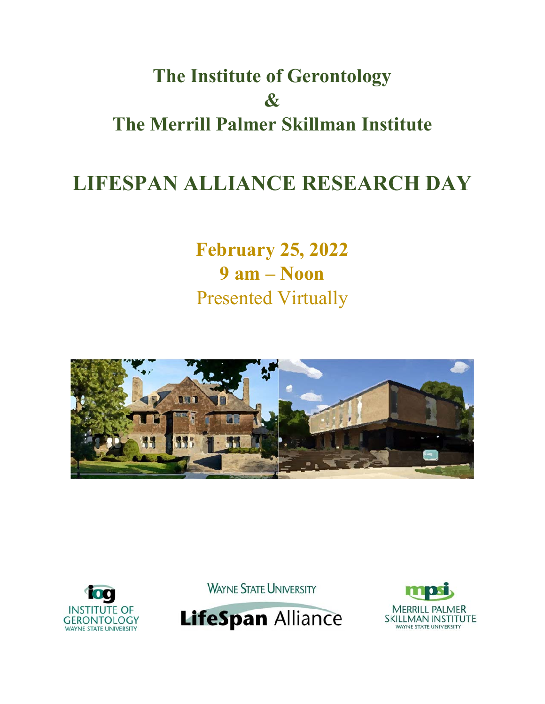# **The Institute of Gerontology & The Merrill Palmer Skillman Institute**

# **LIFESPAN ALLIANCE RESEARCH DAY**

**February 25, 2022 9 am – Noon**  Presented Virtually





**WAYNE STATE UNIVERSITY** 



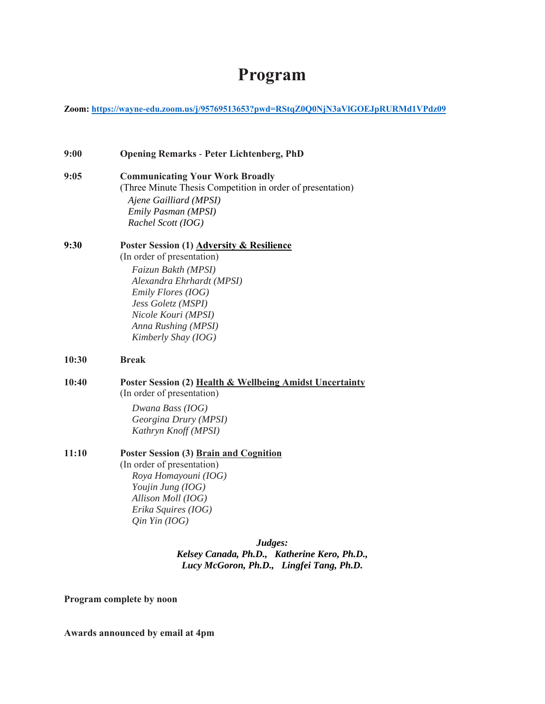## **Program**

**Zoom: https://wayne-edu.zoom.us/j/95769513653?pwd=RStqZ0Q0NjN3aVlGOEJpRURMd1VPdz09** 

| 9:00  | <b>Opening Remarks - Peter Lichtenberg, PhD</b>                                                                                                                                                                                              |
|-------|----------------------------------------------------------------------------------------------------------------------------------------------------------------------------------------------------------------------------------------------|
| 9:05  | <b>Communicating Your Work Broadly</b><br>(Three Minute Thesis Competition in order of presentation)<br>Ajene Gailliard (MPSI)<br>Emily Pasman (MPSI)<br>Rachel Scott (IOG)                                                                  |
| 9:30  | Poster Session (1) Adversity & Resilience<br>(In order of presentation)<br>Faizun Bakth (MPSI)<br>Alexandra Ehrhardt (MPSI)<br>Emily Flores (IOG)<br>Jess Goletz (MSPI)<br>Nicole Kouri (MPSI)<br>Anna Rushing (MPSI)<br>Kimberly Shay (IOG) |
| 10:30 | <b>Break</b>                                                                                                                                                                                                                                 |
| 10:40 | Poster Session (2) Health & Wellbeing Amidst Uncertainty<br>(In order of presentation)<br>Dwana Bass (IOG)<br>Georgina Drury (MPSI)<br>Kathryn Knoff (MPSI)                                                                                  |
| 11:10 | Poster Session (3) Brain and Cognition<br>(In order of presentation)<br>Roya Homayouni (IOG)<br>Youjin Jung (IOG)<br>Allison Moll (IOG)<br>Erika Squires (IOG)<br>$Q$ in Yin (IOG)                                                           |
|       | $\mathbf{L} \cdot \mathbf{L}$                                                                                                                                                                                                                |

*Judges: Kelsey Canada, Ph.D., Katherine Kero, Ph.D., Lucy McGoron, Ph.D., Lingfei Tang, Ph.D.* 

**Program complete by noon** 

**Awards announced by email at 4pm**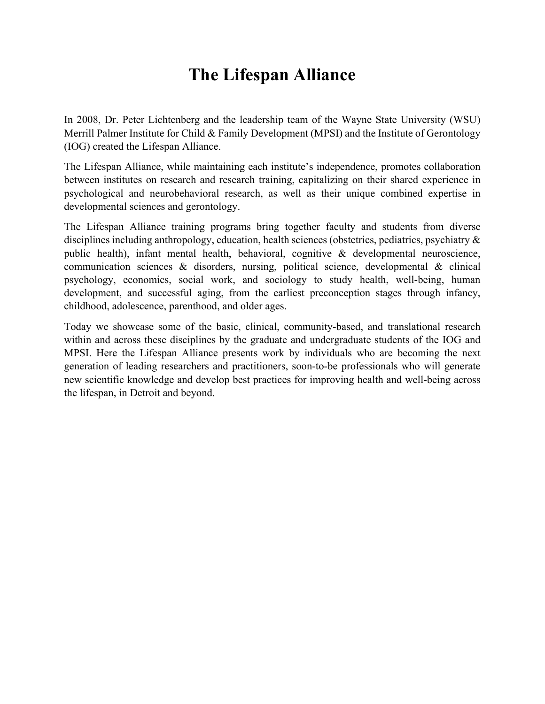## **The Lifespan Alliance**

In 2008, Dr. Peter Lichtenberg and the leadership team of the Wayne State University (WSU) Merrill Palmer Institute for Child & Family Development (MPSI) and the Institute of Gerontology (IOG) created the Lifespan Alliance.

The Lifespan Alliance, while maintaining each institute's independence, promotes collaboration between institutes on research and research training, capitalizing on their shared experience in psychological and neurobehavioral research, as well as their unique combined expertise in developmental sciences and gerontology.

The Lifespan Alliance training programs bring together faculty and students from diverse disciplines including anthropology, education, health sciences (obstetrics, pediatrics, psychiatry & public health), infant mental health, behavioral, cognitive & developmental neuroscience, communication sciences & disorders, nursing, political science, developmental & clinical psychology, economics, social work, and sociology to study health, well-being, human development, and successful aging, from the earliest preconception stages through infancy, childhood, adolescence, parenthood, and older ages.

Today we showcase some of the basic, clinical, community-based, and translational research within and across these disciplines by the graduate and undergraduate students of the IOG and MPSI. Here the Lifespan Alliance presents work by individuals who are becoming the next generation of leading researchers and practitioners, soon-to-be professionals who will generate new scientific knowledge and develop best practices for improving health and well-being across the lifespan, in Detroit and beyond.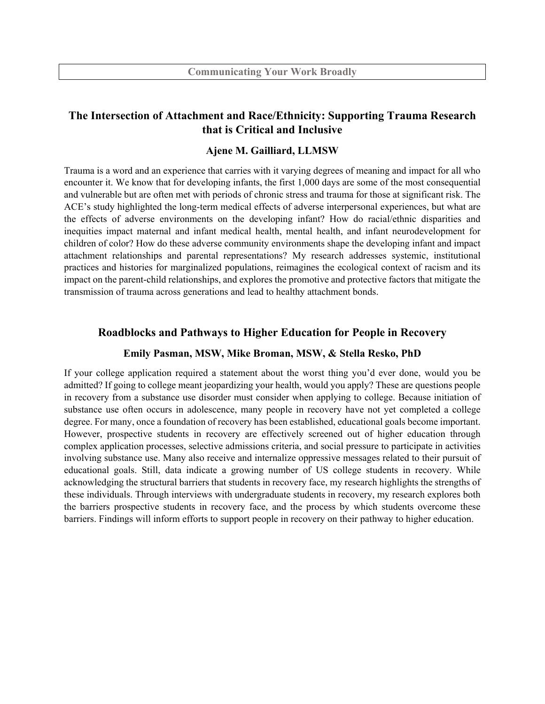## **The Intersection of Attachment and Race/Ethnicity: Supporting Trauma Research that is Critical and Inclusive**

#### **Ajene M. Gailliard, LLMSW**

Trauma is a word and an experience that carries with it varying degrees of meaning and impact for all who encounter it. We know that for developing infants, the first 1,000 days are some of the most consequential and vulnerable but are often met with periods of chronic stress and trauma for those at significant risk. The ACE's study highlighted the long-term medical effects of adverse interpersonal experiences, but what are the effects of adverse environments on the developing infant? How do racial/ethnic disparities and inequities impact maternal and infant medical health, mental health, and infant neurodevelopment for children of color? How do these adverse community environments shape the developing infant and impact attachment relationships and parental representations? My research addresses systemic, institutional practices and histories for marginalized populations, reimagines the ecological context of racism and its impact on the parent-child relationships, and explores the promotive and protective factors that mitigate the transmission of trauma across generations and lead to healthy attachment bonds.

#### **Roadblocks and Pathways to Higher Education for People in Recovery**

#### **Emily Pasman, MSW, Mike Broman, MSW, & Stella Resko, PhD**

If your college application required a statement about the worst thing you'd ever done, would you be admitted? If going to college meant jeopardizing your health, would you apply? These are questions people in recovery from a substance use disorder must consider when applying to college. Because initiation of substance use often occurs in adolescence, many people in recovery have not yet completed a college degree. For many, once a foundation of recovery has been established, educational goals become important. However, prospective students in recovery are effectively screened out of higher education through complex application processes, selective admissions criteria, and social pressure to participate in activities involving substance use. Many also receive and internalize oppressive messages related to their pursuit of educational goals. Still, data indicate a growing number of US college students in recovery. While acknowledging the structural barriers that students in recovery face, my research highlights the strengths of these individuals. Through interviews with undergraduate students in recovery, my research explores both the barriers prospective students in recovery face, and the process by which students overcome these barriers. Findings will inform efforts to support people in recovery on their pathway to higher education.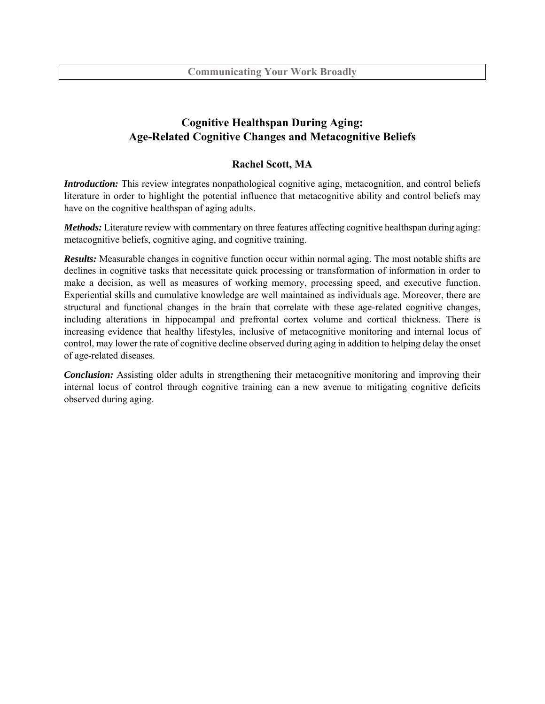## **Cognitive Healthspan During Aging: Age-Related Cognitive Changes and Metacognitive Beliefs**

## **Rachel Scott, MA**

*Introduction:* This review integrates nonpathological cognitive aging, metacognition, and control beliefs literature in order to highlight the potential influence that metacognitive ability and control beliefs may have on the cognitive healthspan of aging adults.

*Methods:* Literature review with commentary on three features affecting cognitive healthspan during aging: metacognitive beliefs, cognitive aging, and cognitive training.

*Results:* Measurable changes in cognitive function occur within normal aging. The most notable shifts are declines in cognitive tasks that necessitate quick processing or transformation of information in order to make a decision, as well as measures of working memory, processing speed, and executive function. Experiential skills and cumulative knowledge are well maintained as individuals age. Moreover, there are structural and functional changes in the brain that correlate with these age-related cognitive changes, including alterations in hippocampal and prefrontal cortex volume and cortical thickness. There is increasing evidence that healthy lifestyles, inclusive of metacognitive monitoring and internal locus of control, may lower the rate of cognitive decline observed during aging in addition to helping delay the onset of age-related diseases.

*Conclusion:* Assisting older adults in strengthening their metacognitive monitoring and improving their internal locus of control through cognitive training can a new avenue to mitigating cognitive deficits observed during aging.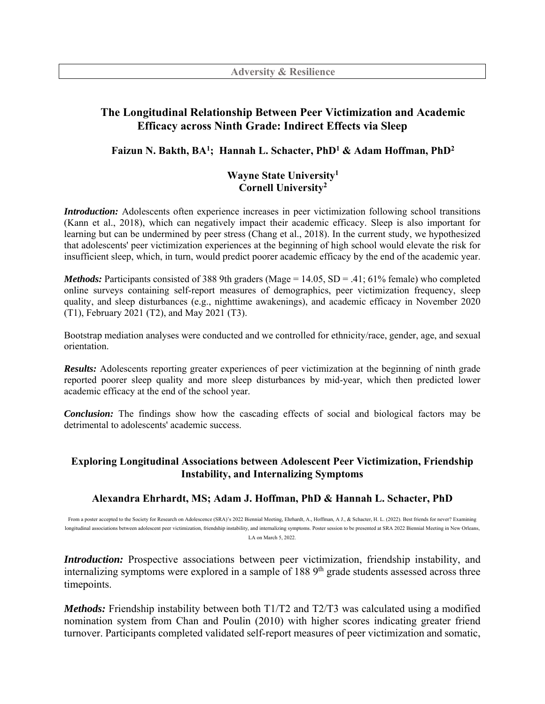## **The Longitudinal Relationship Between Peer Victimization and Academic Efficacy across Ninth Grade: Indirect Effects via Sleep**

## **Faizun N. Bakth, BA1; Hannah L. Schacter, PhD1 & Adam Hoffman, PhD2**

## **Wayne State University1 Cornell University2**

*Introduction:* Adolescents often experience increases in peer victimization following school transitions (Kann et al., 2018), which can negatively impact their academic efficacy. Sleep is also important for learning but can be undermined by peer stress (Chang et al., 2018). In the current study, we hypothesized that adolescents' peer victimization experiences at the beginning of high school would elevate the risk for insufficient sleep, which, in turn, would predict poorer academic efficacy by the end of the academic year.

*Methods:* Participants consisted of 388 9th graders (Mage =  $14.05$ , SD = .41; 61% female) who completed online surveys containing self-report measures of demographics, peer victimization frequency, sleep quality, and sleep disturbances (e.g., nighttime awakenings), and academic efficacy in November 2020 (T1), February 2021 (T2), and May 2021 (T3).

Bootstrap mediation analyses were conducted and we controlled for ethnicity/race, gender, age, and sexual orientation.

*Results:* Adolescents reporting greater experiences of peer victimization at the beginning of ninth grade reported poorer sleep quality and more sleep disturbances by mid-year, which then predicted lower academic efficacy at the end of the school year.

*Conclusion:* The findings show how the cascading effects of social and biological factors may be detrimental to adolescents' academic success.

## **Exploring Longitudinal Associations between Adolescent Peer Victimization, Friendship Instability, and Internalizing Symptoms**

## **Alexandra Ehrhardt, MS; Adam J. Hoffman, PhD & Hannah L. Schacter, PhD**

From a poster accepted to the Society for Research on Adolescence (SRA)'s 2022 Biennial Meeting, Ehrhardt, A., Hoffman, A J., & Schacter, H. L. (2022). Best friends for never? Examining longitudinal associations between adolescent peer victimization, friendship instability, and internalizing symptoms. Poster session to be presented at SRA 2022 Biennial Meeting in New Orleans, LA on March 5, 2022.

*Introduction:* Prospective associations between peer victimization, friendship instability, and internalizing symptoms were explored in a sample of  $1889<sup>th</sup>$  grade students assessed across three timepoints.

*Methods:* Friendship instability between both T1/T2 and T2/T3 was calculated using a modified nomination system from Chan and Poulin (2010) with higher scores indicating greater friend turnover. Participants completed validated self-report measures of peer victimization and somatic,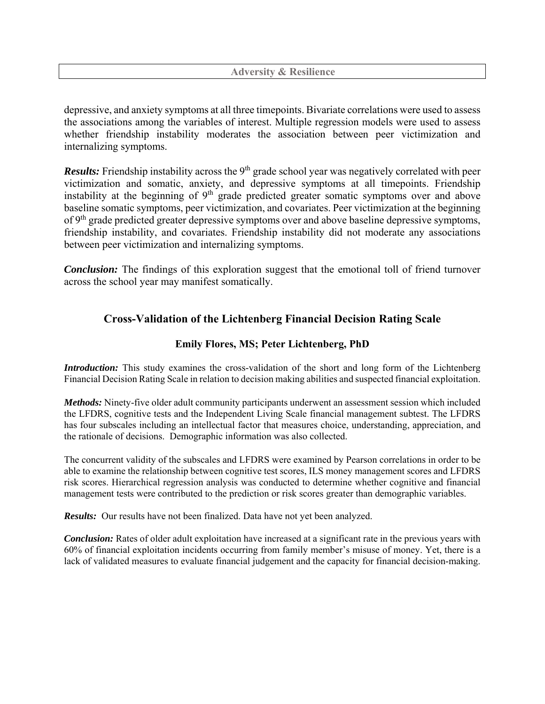**Adversity & Resilience**

depressive, and anxiety symptoms at all three timepoints. Bivariate correlations were used to assess the associations among the variables of interest. Multiple regression models were used to assess whether friendship instability moderates the association between peer victimization and internalizing symptoms.

*Results:* Friendship instability across the 9<sup>th</sup> grade school year was negatively correlated with peer victimization and somatic, anxiety, and depressive symptoms at all timepoints. Friendship instability at the beginning of  $9<sup>th</sup>$  grade predicted greater somatic symptoms over and above baseline somatic symptoms, peer victimization, and covariates. Peer victimization at the beginning of 9<sup>th</sup> grade predicted greater depressive symptoms over and above baseline depressive symptoms, friendship instability, and covariates. Friendship instability did not moderate any associations between peer victimization and internalizing symptoms.

*Conclusion:* The findings of this exploration suggest that the emotional toll of friend turnover across the school year may manifest somatically.

## **Cross-Validation of the Lichtenberg Financial Decision Rating Scale**

## **Emily Flores, MS; Peter Lichtenberg, PhD**

*Introduction:* This study examines the cross-validation of the short and long form of the Lichtenberg Financial Decision Rating Scale in relation to decision making abilities and suspected financial exploitation.

*Methods:* Ninety-five older adult community participants underwent an assessment session which included the LFDRS, cognitive tests and the Independent Living Scale financial management subtest. The LFDRS has four subscales including an intellectual factor that measures choice, understanding, appreciation, and the rationale of decisions. Demographic information was also collected.

The concurrent validity of the subscales and LFDRS were examined by Pearson correlations in order to be able to examine the relationship between cognitive test scores, ILS money management scores and LFDRS risk scores. Hierarchical regression analysis was conducted to determine whether cognitive and financial management tests were contributed to the prediction or risk scores greater than demographic variables.

*Results:* Our results have not been finalized. Data have not yet been analyzed.

*Conclusion:* Rates of older adult exploitation have increased at a significant rate in the previous years with 60% of financial exploitation incidents occurring from family member's misuse of money. Yet, there is a lack of validated measures to evaluate financial judgement and the capacity for financial decision-making.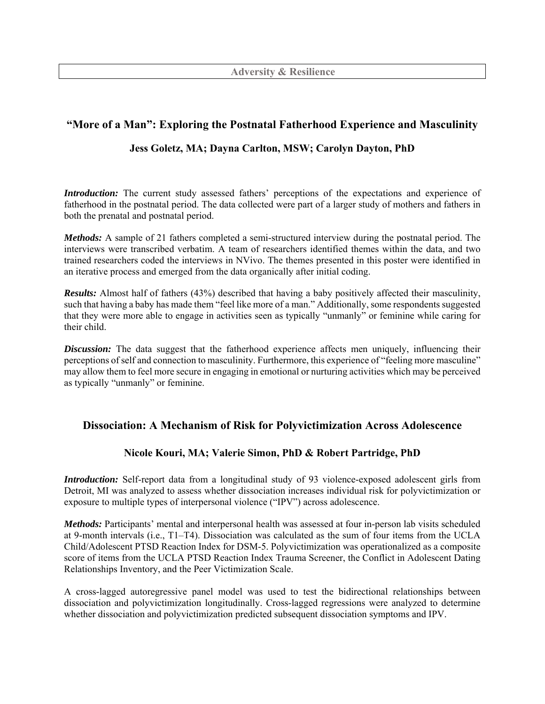# **"More of a Man": Exploring the Postnatal Fatherhood Experience and Masculinity**

## **Jess Goletz, MA; Dayna Carlton, MSW; Carolyn Dayton, PhD**

*Introduction:* The current study assessed fathers' perceptions of the expectations and experience of fatherhood in the postnatal period. The data collected were part of a larger study of mothers and fathers in both the prenatal and postnatal period.

*Methods:* A sample of 21 fathers completed a semi-structured interview during the postnatal period. The interviews were transcribed verbatim. A team of researchers identified themes within the data, and two trained researchers coded the interviews in NVivo. The themes presented in this poster were identified in an iterative process and emerged from the data organically after initial coding.

*Results:* Almost half of fathers (43%) described that having a baby positively affected their masculinity, such that having a baby has made them "feel like more of a man." Additionally, some respondents suggested that they were more able to engage in activities seen as typically "unmanly" or feminine while caring for their child.

*Discussion:* The data suggest that the fatherhood experience affects men uniquely, influencing their perceptions of self and connection to masculinity. Furthermore, this experience of "feeling more masculine" may allow them to feel more secure in engaging in emotional or nurturing activities which may be perceived as typically "unmanly" or feminine.

## **Dissociation: A Mechanism of Risk for Polyvictimization Across Adolescence**

## **Nicole Kouri, MA; Valerie Simon, PhD & Robert Partridge, PhD**

*Introduction:* Self-report data from a longitudinal study of 93 violence-exposed adolescent girls from Detroit, MI was analyzed to assess whether dissociation increases individual risk for polyvictimization or exposure to multiple types of interpersonal violence ("IPV") across adolescence.

*Methods:* Participants' mental and interpersonal health was assessed at four in-person lab visits scheduled at 9-month intervals (i.e., T1–T4). Dissociation was calculated as the sum of four items from the UCLA Child/Adolescent PTSD Reaction Index for DSM-5. Polyvictimization was operationalized as a composite score of items from the UCLA PTSD Reaction Index Trauma Screener, the Conflict in Adolescent Dating Relationships Inventory, and the Peer Victimization Scale.

A cross-lagged autoregressive panel model was used to test the bidirectional relationships between dissociation and polyvictimization longitudinally. Cross-lagged regressions were analyzed to determine whether dissociation and polyvictimization predicted subsequent dissociation symptoms and IPV.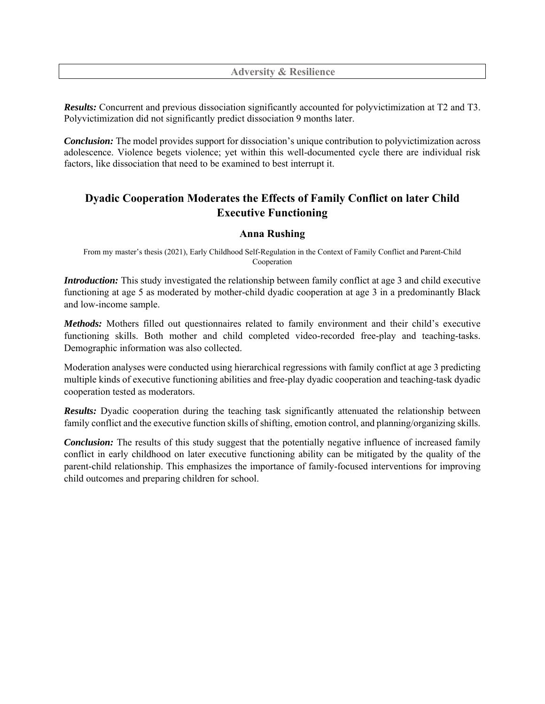*Results:* Concurrent and previous dissociation significantly accounted for polyvictimization at T2 and T3. Polyvictimization did not significantly predict dissociation 9 months later.

*Conclusion:* The model provides support for dissociation's unique contribution to polyvictimization across adolescence. Violence begets violence; yet within this well-documented cycle there are individual risk factors, like dissociation that need to be examined to best interrupt it.

## **Dyadic Cooperation Moderates the Effects of Family Conflict on later Child Executive Functioning**

#### **Anna Rushing**

From my master's thesis (2021), Early Childhood Self-Regulation in the Context of Family Conflict and Parent-Child Cooperation

*Introduction:* This study investigated the relationship between family conflict at age 3 and child executive functioning at age 5 as moderated by mother-child dyadic cooperation at age 3 in a predominantly Black and low-income sample.

*Methods:* Mothers filled out questionnaires related to family environment and their child's executive functioning skills. Both mother and child completed video-recorded free-play and teaching-tasks. Demographic information was also collected.

Moderation analyses were conducted using hierarchical regressions with family conflict at age 3 predicting multiple kinds of executive functioning abilities and free-play dyadic cooperation and teaching-task dyadic cooperation tested as moderators.

*Results:* Dyadic cooperation during the teaching task significantly attenuated the relationship between family conflict and the executive function skills of shifting, emotion control, and planning/organizing skills.

*Conclusion:* The results of this study suggest that the potentially negative influence of increased family conflict in early childhood on later executive functioning ability can be mitigated by the quality of the parent-child relationship. This emphasizes the importance of family-focused interventions for improving child outcomes and preparing children for school.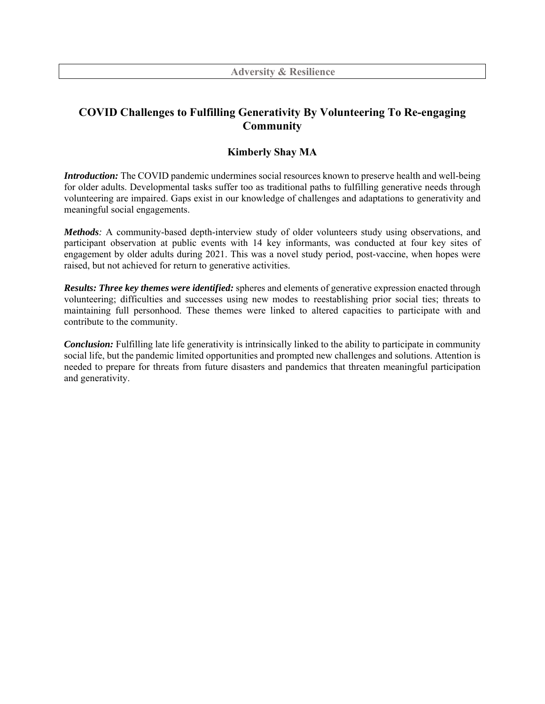## **COVID Challenges to Fulfilling Generativity By Volunteering To Re-engaging Community**

## **Kimberly Shay MA**

*Introduction:* The COVID pandemic undermines social resources known to preserve health and well-being for older adults. Developmental tasks suffer too as traditional paths to fulfilling generative needs through volunteering are impaired. Gaps exist in our knowledge of challenges and adaptations to generativity and meaningful social engagements.

*Methods:* A community-based depth-interview study of older volunteers study using observations, and participant observation at public events with 14 key informants, was conducted at four key sites of engagement by older adults during 2021. This was a novel study period, post-vaccine, when hopes were raised, but not achieved for return to generative activities.

*Results: Three key themes were identified:* spheres and elements of generative expression enacted through volunteering; difficulties and successes using new modes to reestablishing prior social ties; threats to maintaining full personhood. These themes were linked to altered capacities to participate with and contribute to the community.

*Conclusion:* Fulfilling late life generativity is intrinsically linked to the ability to participate in community social life, but the pandemic limited opportunities and prompted new challenges and solutions. Attention is needed to prepare for threats from future disasters and pandemics that threaten meaningful participation and generativity.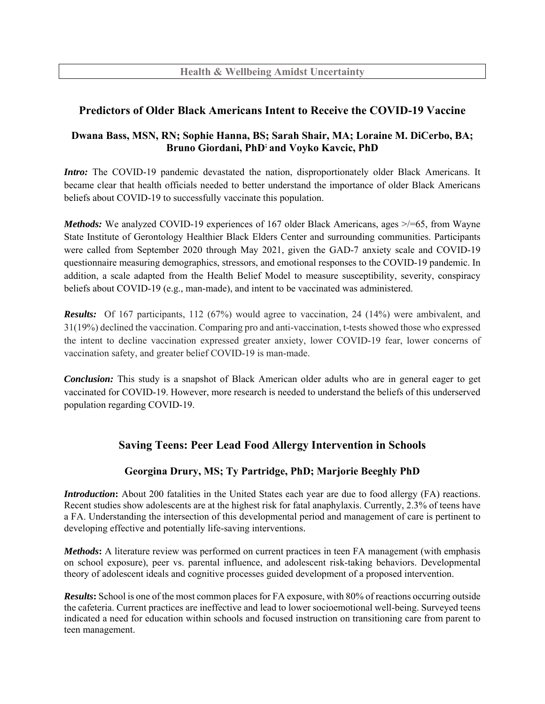## **Predictors of Older Black Americans Intent to Receive the COVID-19 Vaccine**

## **Dwana Bass, MSN, RN; Sophie Hanna, BS; Sarah Shair, MA; Loraine M. DiCerbo, BA; Bruno Giordani, PhD; and Voyko Kavcic, PhD**

*Intro:* The COVID-19 pandemic devastated the nation, disproportionately older Black Americans. It became clear that health officials needed to better understand the importance of older Black Americans beliefs about COVID-19 to successfully vaccinate this population.

*Methods:* We analyzed COVID-19 experiences of 167 older Black Americans, ages  $\ge$  = 65, from Wayne State Institute of Gerontology Healthier Black Elders Center and surrounding communities. Participants were called from September 2020 through May 2021, given the GAD-7 anxiety scale and COVID-19 questionnaire measuring demographics, stressors, and emotional responses to the COVID-19 pandemic. In addition, a scale adapted from the Health Belief Model to measure susceptibility, severity, conspiracy beliefs about COVID-19 (e.g., man-made), and intent to be vaccinated was administered.

*Results:* Of 167 participants, 112 (67%) would agree to vaccination, 24 (14%) were ambivalent, and 31(19%) declined the vaccination. Comparing pro and anti-vaccination, t-tests showed those who expressed the intent to decline vaccination expressed greater anxiety, lower COVID-19 fear, lower concerns of vaccination safety, and greater belief COVID-19 is man-made.

*Conclusion:* This study is a snapshot of Black American older adults who are in general eager to get vaccinated for COVID-19. However, more research is needed to understand the beliefs of this underserved population regarding COVID-19.

## **Saving Teens: Peer Lead Food Allergy Intervention in Schools**

### **Georgina Drury, MS; Ty Partridge, PhD; Marjorie Beeghly PhD**

*Introduction*: About 200 fatalities in the United States each year are due to food allergy (FA) reactions. Recent studies show adolescents are at the highest risk for fatal anaphylaxis. Currently, 2.3% of teens have a FA. Understanding the intersection of this developmental period and management of care is pertinent to developing effective and potentially life-saving interventions.

*Methods***:** A literature review was performed on current practices in teen FA management (with emphasis on school exposure), peer vs. parental influence, and adolescent risk-taking behaviors. Developmental theory of adolescent ideals and cognitive processes guided development of a proposed intervention.

*Results***:** School is one of the most common places for FA exposure, with 80% of reactions occurring outside the cafeteria. Current practices are ineffective and lead to lower socioemotional well-being. Surveyed teens indicated a need for education within schools and focused instruction on transitioning care from parent to teen management.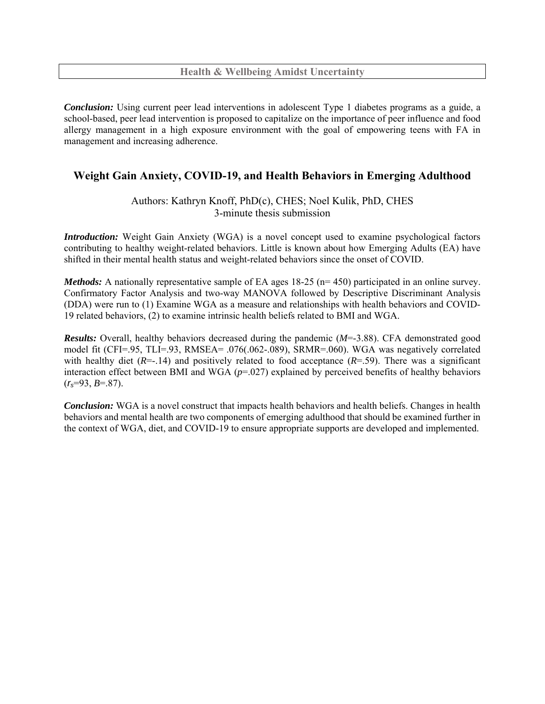**Health & Wellbeing Amidst Uncertainty** 

*Conclusion:* Using current peer lead interventions in adolescent Type 1 diabetes programs as a guide, a school-based, peer lead intervention is proposed to capitalize on the importance of peer influence and food allergy management in a high exposure environment with the goal of empowering teens with FA in management and increasing adherence.

## **Weight Gain Anxiety, COVID-19, and Health Behaviors in Emerging Adulthood**

Authors: Kathryn Knoff, PhD(c), CHES; Noel Kulik, PhD, CHES 3-minute thesis submission

*Introduction:* Weight Gain Anxiety (WGA) is a novel concept used to examine psychological factors contributing to healthy weight-related behaviors. Little is known about how Emerging Adults (EA) have shifted in their mental health status and weight-related behaviors since the onset of COVID.

*Methods:* A nationally representative sample of EA ages 18-25 (n= 450) participated in an online survey. Confirmatory Factor Analysis and two-way MANOVA followed by Descriptive Discriminant Analysis (DDA) were run to (1) Examine WGA as a measure and relationships with health behaviors and COVID-19 related behaviors, (2) to examine intrinsic health beliefs related to BMI and WGA.

*Results:* Overall, healthy behaviors decreased during the pandemic (*M*=-3.88). CFA demonstrated good model fit (CFI=.95, TLI=.93, RMSEA= .076(.062-.089), SRMR=.060). WGA was negatively correlated with healthy diet ( $R = -14$ ) and positively related to food acceptance ( $R = -59$ ). There was a significant interaction effect between BMI and WGA (*p*=.027) explained by perceived benefits of healthy behaviors  $(r_s=93, B=.87)$ .

*Conclusion:* WGA is a novel construct that impacts health behaviors and health beliefs. Changes in health behaviors and mental health are two components of emerging adulthood that should be examined further in the context of WGA, diet, and COVID-19 to ensure appropriate supports are developed and implemented.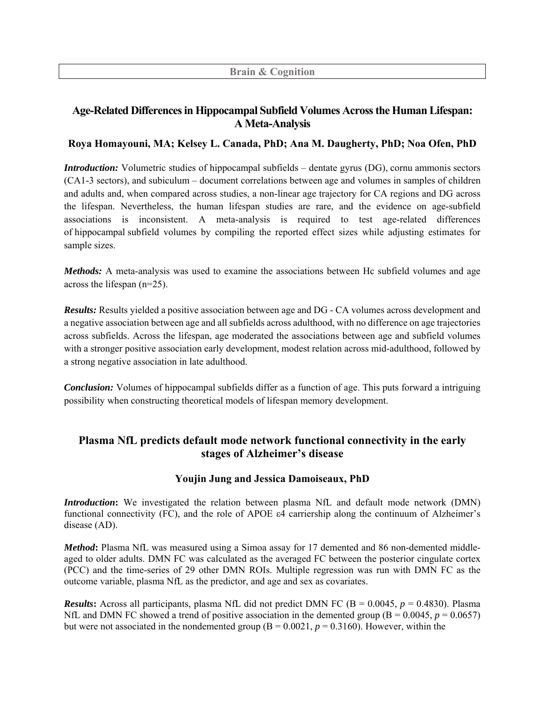## **Age-Related Differences in Hippocampal Subfield Volumes Across the Human Lifespan: A Meta-Analysis**

#### **Roya Homayouni, MA; Kelsey L. Canada, PhD; Ana M. Daugherty, PhD; Noa Ofen, PhD**

*Introduction:* Volumetric studies of hippocampal subfields – dentate gyrus (DG), cornu ammonis sectors (CA1-3 sectors), and subiculum – document correlations between age and volumes in samples of children and adults and, when compared across studies, a non-linear age trajectory for CA regions and DG across the lifespan. Nevertheless, the human lifespan studies are rare, and the evidence on age-subfield associations is inconsistent. A meta-analysis is required to test age-related differences of hippocampal subfield volumes by compiling the reported effect sizes while adjusting estimates for sample sizes.

*Methods*: A meta-analysis was used to examine the associations between Hc subfield volumes and age across the lifespan (n=25).

*Results:* Results yielded a positive association between age and DG - CA volumes across development and a negative association between age and all subfields across adulthood, with no difference on age trajectories across subfields. Across the lifespan, age moderated the associations between age and subfield volumes with a stronger positive association early development, modest relation across mid-adulthood, followed by a strong negative association in late adulthood.

*Conclusion:* Volumes of hippocampal subfields differ as a function of age. This puts forward a intriguing possibility when constructing theoretical models of lifespan memory development.

## **Plasma NfL predicts default mode network functional connectivity in the early stages of Alzheimer's disease**

### **Youjin Jung and Jessica Damoiseaux, PhD**

*Introduction***:** We investigated the relation between plasma NfL and default mode network (DMN) functional connectivity (FC), and the role of APOE ε4 carriership along the continuum of Alzheimer's disease (AD).

*Method***:** Plasma NfL was measured using a Simoa assay for 17 demented and 86 non-demented middleaged to older adults. DMN FC was calculated as the averaged FC between the posterior cingulate cortex (PCC) and the time-series of 29 other DMN ROIs. Multiple regression was run with DMN FC as the outcome variable, plasma NfL as the predictor, and age and sex as covariates.

*Results***:** Across all participants, plasma NfL did not predict DMN FC ( $B = 0.0045$ ,  $p = 0.4830$ ). Plasma NfL and DMN FC showed a trend of positive association in the demented group  $(B = 0.0045, p = 0.0657)$ but were not associated in the nondemented group  $(B = 0.0021, p = 0.3160)$ . However, within the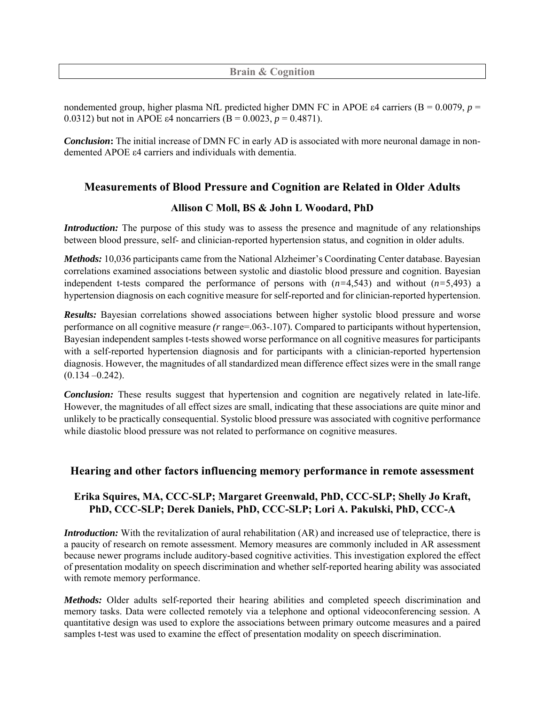**Brain & Cognition** 

nondemented group, higher plasma NfL predicted higher DMN FC in APOE ε4 carriers (Β = 0.0079, *p* = 0.0312) but not in APOE  $\varepsilon$ 4 noncarriers (B = 0.0023, p = 0.4871).

*Conclusion***:** The initial increase of DMN FC in early AD is associated with more neuronal damage in nondemented APOE ε4 carriers and individuals with dementia.

### **Measurements of Blood Pressure and Cognition are Related in Older Adults**

#### **Allison C Moll, BS & John L Woodard, PhD**

*Introduction:* The purpose of this study was to assess the presence and magnitude of any relationships between blood pressure, self- and clinician-reported hypertension status, and cognition in older adults.

*Methods:* 10,036 participants came from the National Alzheimer's Coordinating Center database. Bayesian correlations examined associations between systolic and diastolic blood pressure and cognition. Bayesian independent t-tests compared the performance of persons with  $(n=4,543)$  and without  $(n=5,493)$  a hypertension diagnosis on each cognitive measure for self-reported and for clinician-reported hypertension.

*Results:* Bayesian correlations showed associations between higher systolic blood pressure and worse performance on all cognitive measure *(r* range=.063-.107)*.* Compared to participants without hypertension, Bayesian independent samples t-tests showed worse performance on all cognitive measures for participants with a self-reported hypertension diagnosis and for participants with a clinician-reported hypertension diagnosis. However, the magnitudes of all standardized mean difference effect sizes were in the small range  $(0.134 - 0.242)$ .

*Conclusion:* These results suggest that hypertension and cognition are negatively related in late-life. However, the magnitudes of all effect sizes are small, indicating that these associations are quite minor and unlikely to be practically consequential. Systolic blood pressure was associated with cognitive performance while diastolic blood pressure was not related to performance on cognitive measures.

### **Hearing and other factors influencing memory performance in remote assessment**

## **Erika Squires, MA, CCC-SLP; Margaret Greenwald, PhD, CCC-SLP; Shelly Jo Kraft, PhD, CCC-SLP; Derek Daniels, PhD, CCC-SLP; Lori A. Pakulski, PhD, CCC-A**

*Introduction:* With the revitalization of aural rehabilitation (AR) and increased use of telepractice, there is a paucity of research on remote assessment. Memory measures are commonly included in AR assessment because newer programs include auditory-based cognitive activities. This investigation explored the effect of presentation modality on speech discrimination and whether self-reported hearing ability was associated with remote memory performance.

*Methods:* Older adults self-reported their hearing abilities and completed speech discrimination and memory tasks. Data were collected remotely via a telephone and optional videoconferencing session. A quantitative design was used to explore the associations between primary outcome measures and a paired samples t-test was used to examine the effect of presentation modality on speech discrimination.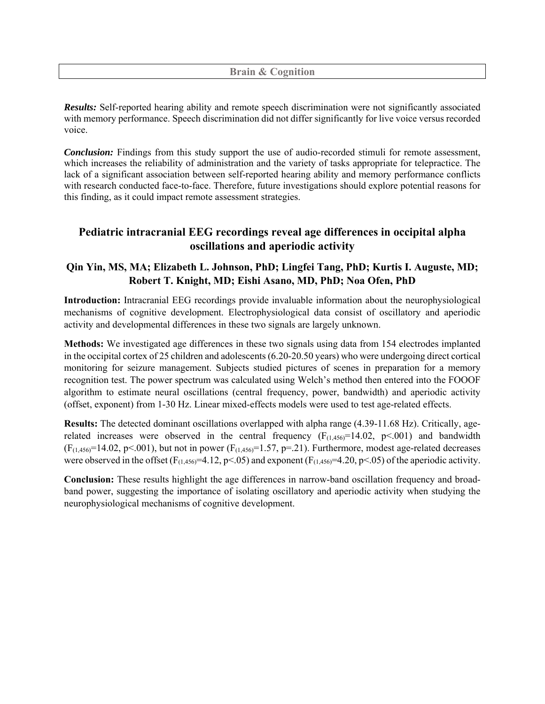#### **Brain & Cognition**

*Results:* Self-reported hearing ability and remote speech discrimination were not significantly associated with memory performance. Speech discrimination did not differ significantly for live voice versus recorded voice.

*Conclusion:* Findings from this study support the use of audio-recorded stimuli for remote assessment, which increases the reliability of administration and the variety of tasks appropriate for telepractice. The lack of a significant association between self-reported hearing ability and memory performance conflicts with research conducted face-to-face. Therefore, future investigations should explore potential reasons for this finding, as it could impact remote assessment strategies.

## **Pediatric intracranial EEG recordings reveal age differences in occipital alpha oscillations and aperiodic activity**

## **Qin Yin, MS, MA; Elizabeth L. Johnson, PhD; Lingfei Tang, PhD; Kurtis I. Auguste, MD; Robert T. Knight, MD; Eishi Asano, MD, PhD; Noa Ofen, PhD**

**Introduction:** Intracranial EEG recordings provide invaluable information about the neurophysiological mechanisms of cognitive development. Electrophysiological data consist of oscillatory and aperiodic activity and developmental differences in these two signals are largely unknown.

**Methods:** We investigated age differences in these two signals using data from 154 electrodes implanted in the occipital cortex of 25 children and adolescents (6.20-20.50 years) who were undergoing direct cortical monitoring for seizure management. Subjects studied pictures of scenes in preparation for a memory recognition test. The power spectrum was calculated using Welch's method then entered into the FOOOF algorithm to estimate neural oscillations (central frequency, power, bandwidth) and aperiodic activity (offset, exponent) from 1-30 Hz. Linear mixed-effects models were used to test age-related effects.

**Results:** The detected dominant oscillations overlapped with alpha range (4.39-11.68 Hz). Critically, agerelated increases were observed in the central frequency  $(F_{(1,456)}=14.02, p<.001)$  and bandwidth  $(F<sub>(1,456)</sub>=14.02, p<.001)$ , but not in power  $(F<sub>(1,456)</sub>=1.57, p=.21)$ . Furthermore, modest age-related decreases were observed in the offset ( $F_{(1,456)}=4.12$ , p<.05) and exponent ( $F_{(1,456)}=4.20$ , p<.05) of the aperiodic activity.

**Conclusion:** These results highlight the age differences in narrow-band oscillation frequency and broadband power, suggesting the importance of isolating oscillatory and aperiodic activity when studying the neurophysiological mechanisms of cognitive development.